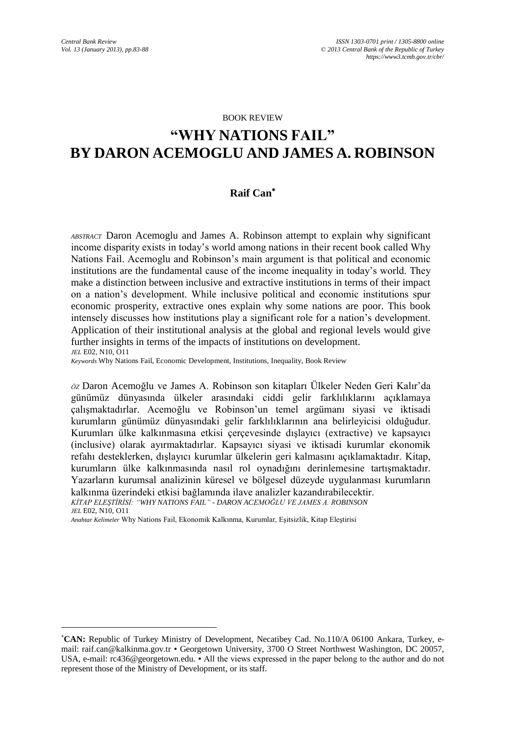#### BOOK REVIEW

# **"WHY NATIONS FAIL" BY DARON ACEMOGLU AND JAMES A. ROBINSON**

#### **Raif Can**

*ABSTRACT* Daron Acemoglu and James A. Robinson attempt to explain why significant income disparity exists in today's world among nations in their recent book called Why Nations Fail. Acemoglu and Robinson's main argument is that political and economic institutions are the fundamental cause of the income inequality in today's world. They make a distinction between inclusive and extractive institutions in terms of their impact on a nation's development. While inclusive political and economic institutions spur economic prosperity, extractive ones explain why some nations are poor. This book intensely discusses how institutions play a significant role for a nation's development. Application of their institutional analysis at the global and regional levels would give further insights in terms of the impacts of institutions on development. *JEL* E02, N10, O11

*Keywords* Why Nations Fail, Economic Development, Institutions, Inequality, Book Review

*ÖZ* Daron Acemoğlu ve James A. Robinson son kitapları Ülkeler Neden Geri Kalır'da günümüz dünyasında ülkeler arasındaki ciddi gelir farklılıklarını açıklamaya çalışmaktadırlar. Acemoğlu ve Robinson'un temel argümanı siyasi ve iktisadi kurumların günümüz dünyasındaki gelir farklılıklarının ana belirleyicisi olduğudur. Kurumları ülke kalkınmasına etkisi çerçevesinde dışlayıcı (extractive) ve kapsayıcı (inclusive) olarak ayırmaktadırlar. Kapsayıcı siyasi ve iktisadi kurumlar ekonomik refahı desteklerken, dışlayıcı kurumlar ülkelerin geri kalmasını açıklamaktadır. Kitap, kurumların ülke kalkınmasında nasıl rol oynadığını derinlemesine tartışmaktadır. Yazarların kurumsal analizinin küresel ve bölgesel düzeyde uygulanması kurumların kalkınma üzerindeki etkisi bağlamında ilave analizler kazandırabilecektir. *KİTAP ELEŞTİRİSİ: "WHY NATIONS FAIL" - DARON ACEMOĞLU VE JAMES A. ROBINSON*

*JEL* E02, N10, O11

 $\overline{\phantom{a}}$ 

*Anahtar Kelimeler* Why Nations Fail, Ekonomik Kalkınma, Kurumlar, Eşitsizlik, Kitap Eleştirisi

**CAN:** Republic of Turkey Ministry of Development, Necatibey Cad. No.110/A 06100 Ankara, Turkey, email: raif.can@kalkinma.gov.tr • Georgetown University, 3700 O Street Northwest Washington, DC 20057, USA, e-mail: rc436@georgetown.edu. ▪ All the views expressed in the paper belong to the author and do not represent those of the Ministry of Development, or its staff.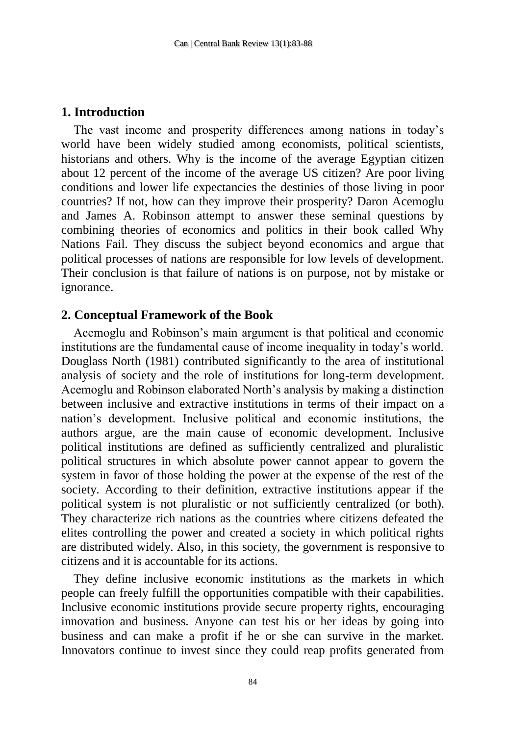## **1. Introduction**

The vast income and prosperity differences among nations in today's world have been widely studied among economists, political scientists, historians and others. Why is the income of the average Egyptian citizen about 12 percent of the income of the average US citizen? Are poor living conditions and lower life expectancies the destinies of those living in poor countries? If not, how can they improve their prosperity? Daron Acemoglu and James A. Robinson attempt to answer these seminal questions by combining theories of economics and politics in their book called Why Nations Fail. They discuss the subject beyond economics and argue that political processes of nations are responsible for low levels of development. Their conclusion is that failure of nations is on purpose, not by mistake or ignorance.

#### **2. Conceptual Framework of the Book**

Acemoglu and Robinson's main argument is that political and economic institutions are the fundamental cause of income inequality in today's world. Douglass North (1981) contributed significantly to the area of institutional analysis of society and the role of institutions for long-term development. Acemoglu and Robinson elaborated North's analysis by making a distinction between inclusive and extractive institutions in terms of their impact on a nation's development. Inclusive political and economic institutions, the authors argue, are the main cause of economic development. Inclusive political institutions are defined as sufficiently centralized and pluralistic political structures in which absolute power cannot appear to govern the system in favor of those holding the power at the expense of the rest of the society. According to their definition, extractive institutions appear if the political system is not pluralistic or not sufficiently centralized (or both). They characterize rich nations as the countries where citizens defeated the elites controlling the power and created a society in which political rights are distributed widely. Also, in this society, the government is responsive to citizens and it is accountable for its actions.

They define inclusive economic institutions as the markets in which people can freely fulfill the opportunities compatible with their capabilities. Inclusive economic institutions provide secure property rights, encouraging innovation and business. Anyone can test his or her ideas by going into business and can make a profit if he or she can survive in the market. Innovators continue to invest since they could reap profits generated from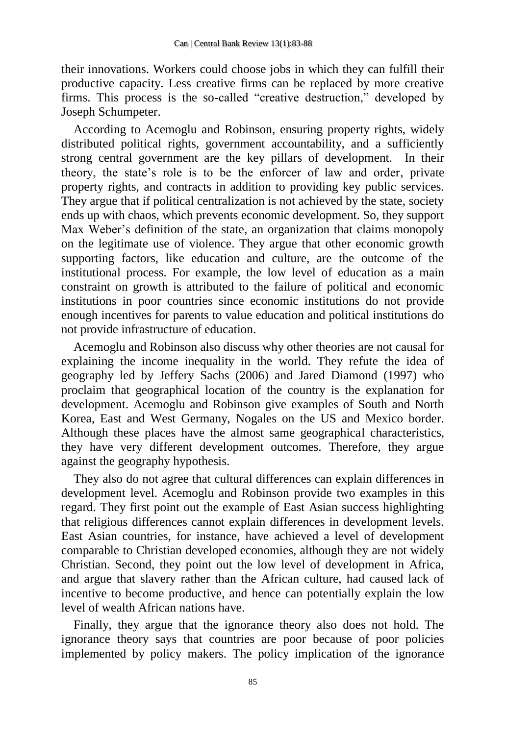their innovations. Workers could choose jobs in which they can fulfill their productive capacity. Less creative firms can be replaced by more creative firms. This process is the so-called "creative destruction," developed by Joseph Schumpeter.

According to Acemoglu and Robinson, ensuring property rights, widely distributed political rights, government accountability, and a sufficiently strong central government are the key pillars of development. In their theory, the state's role is to be the enforcer of law and order, private property rights, and contracts in addition to providing key public services. They argue that if political centralization is not achieved by the state, society ends up with chaos, which prevents economic development. So, they support Max Weber's definition of the state, an organization that claims monopoly on the legitimate use of violence. They argue that other economic growth supporting factors, like education and culture, are the outcome of the institutional process. For example, the low level of education as a main constraint on growth is attributed to the failure of political and economic institutions in poor countries since economic institutions do not provide enough incentives for parents to value education and political institutions do not provide infrastructure of education.

Acemoglu and Robinson also discuss why other theories are not causal for explaining the income inequality in the world. They refute the idea of geography led by Jeffery Sachs (2006) and Jared Diamond (1997) who proclaim that geographical location of the country is the explanation for development. Acemoglu and Robinson give examples of South and North Korea, East and West Germany, Nogales on the US and Mexico border. Although these places have the almost same geographical characteristics, they have very different development outcomes. Therefore, they argue against the geography hypothesis.

They also do not agree that cultural differences can explain differences in development level. Acemoglu and Robinson provide two examples in this regard. They first point out the example of East Asian success highlighting that religious differences cannot explain differences in development levels. East Asian countries, for instance, have achieved a level of development comparable to Christian developed economies, although they are not widely Christian. Second, they point out the low level of development in Africa, and argue that slavery rather than the African culture, had caused lack of incentive to become productive, and hence can potentially explain the low level of wealth African nations have.

Finally, they argue that the ignorance theory also does not hold. The ignorance theory says that countries are poor because of poor policies implemented by policy makers. The policy implication of the ignorance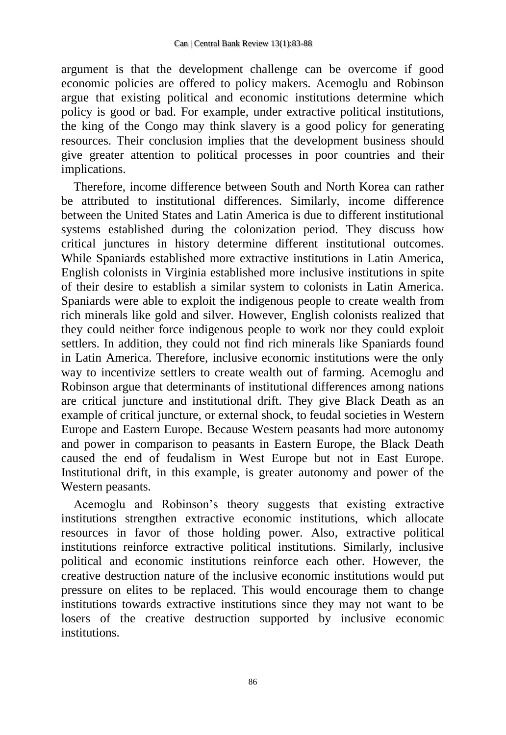argument is that the development challenge can be overcome if good economic policies are offered to policy makers. Acemoglu and Robinson argue that existing political and economic institutions determine which policy is good or bad. For example, under extractive political institutions, the king of the Congo may think slavery is a good policy for generating resources. Their conclusion implies that the development business should give greater attention to political processes in poor countries and their implications.

Therefore, income difference between South and North Korea can rather be attributed to institutional differences. Similarly, income difference between the United States and Latin America is due to different institutional systems established during the colonization period. They discuss how critical junctures in history determine different institutional outcomes. While Spaniards established more extractive institutions in Latin America, English colonists in Virginia established more inclusive institutions in spite of their desire to establish a similar system to colonists in Latin America. Spaniards were able to exploit the indigenous people to create wealth from rich minerals like gold and silver. However, English colonists realized that they could neither force indigenous people to work nor they could exploit settlers. In addition, they could not find rich minerals like Spaniards found in Latin America. Therefore, inclusive economic institutions were the only way to incentivize settlers to create wealth out of farming. Acemoglu and Robinson argue that determinants of institutional differences among nations are critical juncture and institutional drift. They give Black Death as an example of critical juncture, or external shock, to feudal societies in Western Europe and Eastern Europe. Because Western peasants had more autonomy and power in comparison to peasants in Eastern Europe, the Black Death caused the end of feudalism in West Europe but not in East Europe. Institutional drift, in this example, is greater autonomy and power of the Western peasants.

Acemoglu and Robinson's theory suggests that existing extractive institutions strengthen extractive economic institutions, which allocate resources in favor of those holding power. Also, extractive political institutions reinforce extractive political institutions. Similarly, inclusive political and economic institutions reinforce each other. However, the creative destruction nature of the inclusive economic institutions would put pressure on elites to be replaced. This would encourage them to change institutions towards extractive institutions since they may not want to be losers of the creative destruction supported by inclusive economic institutions.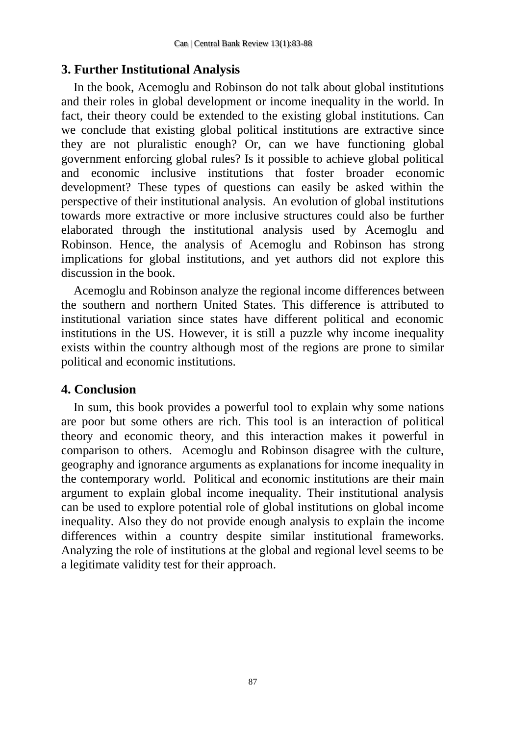# **3. Further Institutional Analysis**

In the book, Acemoglu and Robinson do not talk about global institutions and their roles in global development or income inequality in the world. In fact, their theory could be extended to the existing global institutions. Can we conclude that existing global political institutions are extractive since they are not pluralistic enough? Or, can we have functioning global government enforcing global rules? Is it possible to achieve global political and economic inclusive institutions that foster broader economic development? These types of questions can easily be asked within the perspective of their institutional analysis. An evolution of global institutions towards more extractive or more inclusive structures could also be further elaborated through the institutional analysis used by Acemoglu and Robinson. Hence, the analysis of Acemoglu and Robinson has strong implications for global institutions, and yet authors did not explore this discussion in the book.

Acemoglu and Robinson analyze the regional income differences between the southern and northern United States. This difference is attributed to institutional variation since states have different political and economic institutions in the US. However, it is still a puzzle why income inequality exists within the country although most of the regions are prone to similar political and economic institutions.

# **4. Conclusion**

In sum, this book provides a powerful tool to explain why some nations are poor but some others are rich. This tool is an interaction of political theory and economic theory, and this interaction makes it powerful in comparison to others. Acemoglu and Robinson disagree with the culture, geography and ignorance arguments as explanations for income inequality in the contemporary world. Political and economic institutions are their main argument to explain global income inequality. Their institutional analysis can be used to explore potential role of global institutions on global income inequality. Also they do not provide enough analysis to explain the income differences within a country despite similar institutional frameworks. Analyzing the role of institutions at the global and regional level seems to be a legitimate validity test for their approach.